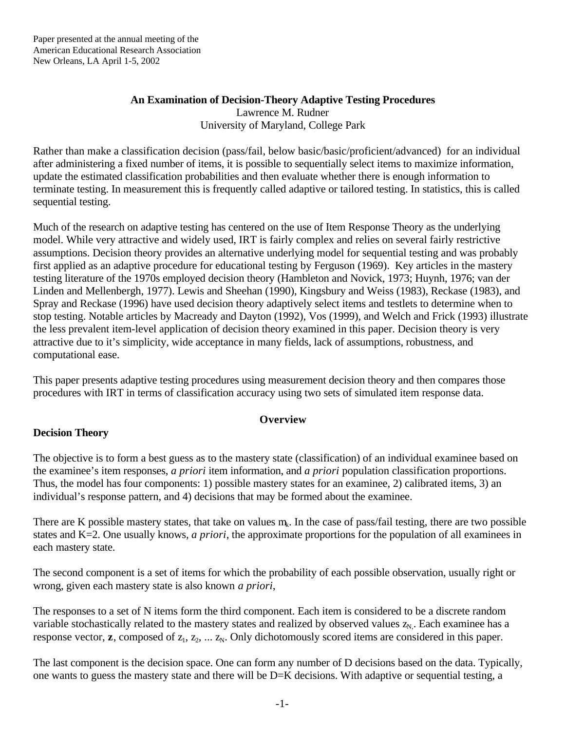# **An Examination of Decision-Theory Adaptive Testing Procedures** Lawrence M. Rudner University of Maryland, College Park

Rather than make a classification decision (pass/fail, below basic/basic/proficient/advanced) for an individual after administering a fixed number of items, it is possible to sequentially select items to maximize information, update the estimated classification probabilities and then evaluate whether there is enough information to terminate testing. In measurement this is frequently called adaptive or tailored testing. In statistics, this is called sequential testing.

Much of the research on adaptive testing has centered on the use of Item Response Theory as the underlying model. While very attractive and widely used, IRT is fairly complex and relies on several fairly restrictive assumptions. Decision theory provides an alternative underlying model for sequential testing and was probably first applied as an adaptive procedure for educational testing by Ferguson (1969). Key articles in the mastery testing literature of the 1970s employed decision theory (Hambleton and Novick, 1973; Huynh, 1976; van der Linden and Mellenbergh, 1977). Lewis and Sheehan (1990), Kingsbury and Weiss (1983), Reckase (1983), and Spray and Reckase (1996) have used decision theory adaptively select items and testlets to determine when to stop testing. Notable articles by Macready and Dayton (1992), Vos (1999), and Welch and Frick (1993) illustrate the less prevalent item-level application of decision theory examined in this paper. Decision theory is very attractive due to it's simplicity, wide acceptance in many fields, lack of assumptions, robustness, and computational ease.

This paper presents adaptive testing procedures using measurement decision theory and then compares those procedures with IRT in terms of classification accuracy using two sets of simulated item response data.

# **Overview**

# **Decision Theory**

The objective is to form a best guess as to the mastery state (classification) of an individual examinee based on the examinee's item responses, *a priori* item information, and *a priori* population classification proportions. Thus, the model has four components: 1) possible mastery states for an examinee, 2) calibrated items, 3) an individual's response pattern, and 4) decisions that may be formed about the examinee.

There are K possible mastery states, that take on values  $m_k$ . In the case of pass/fail testing, there are two possible states and K=2. One usually knows, *a priori*, the approximate proportions for the population of all examinees in each mastery state.

The second component is a set of items for which the probability of each possible observation, usually right or wrong, given each mastery state is also known *a priori*,

The responses to a set of N items form the third component. Each item is considered to be a discrete random variable stochastically related to the mastery states and realized by observed values  $z_N$ . Each examinee has a response vector,  $z$ , composed of  $z_1, z_2, \ldots z_N$ . Only dichotomously scored items are considered in this paper.

The last component is the decision space. One can form any number of D decisions based on the data. Typically, one wants to guess the mastery state and there will be D=K decisions. With adaptive or sequential testing, a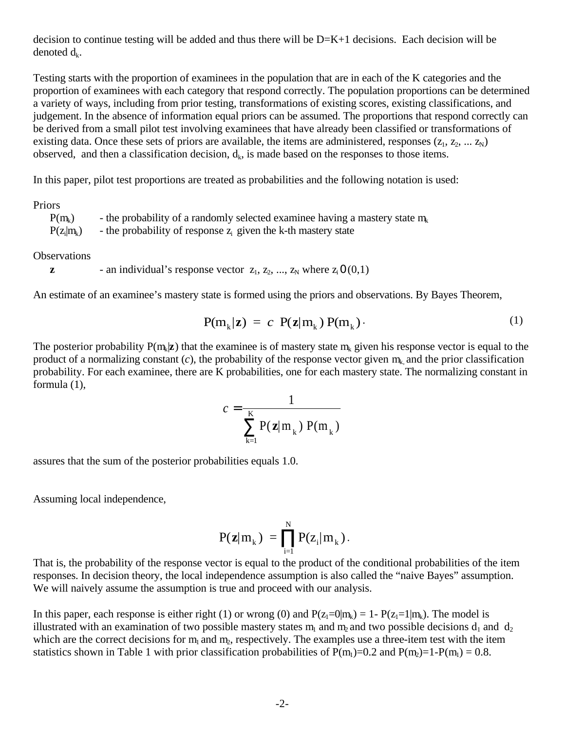decision to continue testing will be added and thus there will be D=K+1 decisions. Each decision will be denoted  $d_k$ .

Testing starts with the proportion of examinees in the population that are in each of the K categories and the proportion of examinees with each category that respond correctly. The population proportions can be determined a variety of ways, including from prior testing, transformations of existing scores, existing classifications, and judgement. In the absence of information equal priors can be assumed. The proportions that respond correctly can be derived from a small pilot test involving examinees that have already been classified or transformations of existing data. Once these sets of priors are available, the items are administered, responses  $(z_1, z_2, ..., z_N)$ observed, and then a classification decision,  $d_k$ , is made based on the responses to those items.

In this paper, pilot test proportions are treated as probabilities and the following notation is used:

Priors

| $P(m_k)$     | - the probability of a randomly selected examinee having a mastery state $m_k$ |
|--------------|--------------------------------------------------------------------------------|
| $P(z_i m_k)$ | - the probability of response $z_i$ given the k-th mastery state               |

**Observations** 

```
z - an individual's response vector z_1, z_2, ..., z_N where z_i 0(0,1)
```
An estimate of an examinee's mastery state is formed using the priors and observations. By Bayes Theorem,

$$
P(m_k|z) = c \ P(z|m_k) P(m_k). \qquad (1)
$$

The posterior probability  $P(m_k|z)$  that the examinee is of mastery state  $m_k$  given his response vector is equal to the product of a normalizing constant  $(c)$ , the probability of the response vector given  $m_k$  and the prior classification probability. For each examinee, there are K probabilities, one for each mastery state. The normalizing constant in formula (1),

$$
c = \frac{1}{\sum_{k=1}^{K} P(\mathbf{z} | m_k) P(m_k)}
$$

assures that the sum of the posterior probabilities equals 1.0.

Assuming local independence,

$$
P({\bm{z}}|m_{_k})\ =\prod_{i=1}^N P(z_i|m_{_k})\,.
$$

That is, the probability of the response vector is equal to the product of the conditional probabilities of the item responses. In decision theory, the local independence assumption is also called the "naive Bayes" assumption. We will naively assume the assumption is true and proceed with our analysis.

In this paper, each response is either right (1) or wrong (0) and  $P(z_1=0|m_k) = 1 - P(z_1=1|m_k)$ . The model is illustrated with an examination of two possible mastery states  $m_1$  and  $m_2$  and two possible decisions  $d_1$  and  $d_2$ which are the correct decisions for  $m_1$  and  $m_2$ , respectively. The examples use a three-item test with the item statistics shown in Table 1 with prior classification probabilities of  $P(m_1)=0.2$  and  $P(m_2)=1-P(m_1)=0.8$ .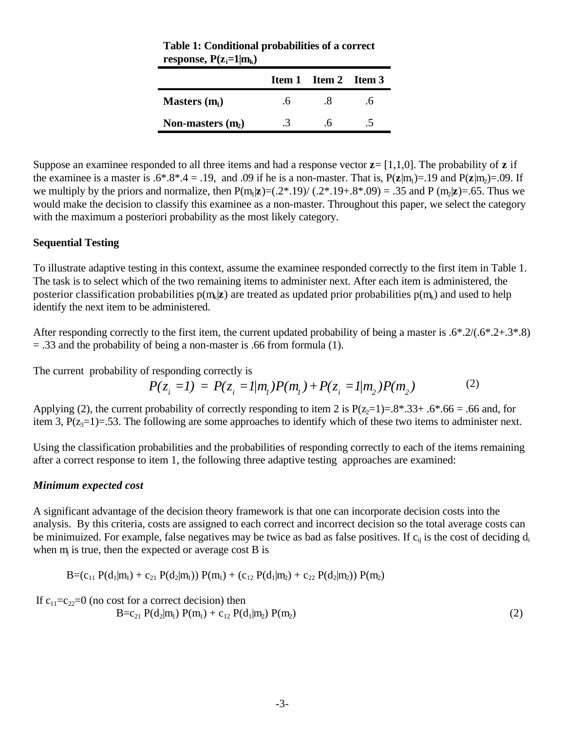|                     |           | <b>Item 1</b> Item 2 Item 3 |    |
|---------------------|-----------|-----------------------------|----|
| Masters $(m1)$      | $\Lambda$ | .X                          | .6 |
| Non-masters $(m_2)$ |           |                             |    |

**Table 1: Conditional probabilities of a correct response,**  $P(z_i=1|m_k)$ 

Suppose an examinee responded to all three items and had a response vector  $z = [1,1,0]$ . The probability of z if the examinee is a master is  $.6^{\ast}.8^{\ast}.4 = .19$ , and  $.09$  if he is a non-master. That is,  $P(z|m_1)=.19$  and  $P(z|m_2)=.09$ . If we multiply by the priors and normalize, then  $P(m_1|z)=(.2^*.19)/(.2^*.19+.8^*.09) = .35$  and  $P(m_2|z)=(.65.$  Thus we would make the decision to classify this examinee as a non-master. Throughout this paper, we select the category with the maximum a posteriori probability as the most likely category.

### **Sequential Testing**

To illustrate adaptive testing in this context, assume the examinee responded correctly to the first item in Table 1. The task is to select which of the two remaining items to administer next. After each item is administered, the posterior classification probabilities  $p(m_k)$  are treated as updated prior probabilities  $p(m_k)$  and used to help identify the next item to be administered.

After responding correctly to the first item, the current updated probability of being a master is  $.6^{\circ}.2/(.6^{\circ}.2+.3^{\circ}.8)$ = .33 and the probability of being a non-master is .66 from formula (1).

The current probability of responding correctly is

$$
P(z_i = l) = P(z_i = l/m_i)P(m_i) + P(z_i = l/m_2)P(m_2)
$$
 (2)

Applying (2), the current probability of correctly responding to item 2 is  $P(z=1)=.8^* .33+ .6^* .66=.66$  and, for item 3,  $P(z_3=1)=.53$ . The following are some approaches to identify which of these two items to administer next.

Using the classification probabilities and the probabilities of responding correctly to each of the items remaining after a correct response to item 1, the following three adaptive testing approaches are examined:

### *Minimum expected cost*

A significant advantage of the decision theory framework is that one can incorporate decision costs into the analysis. By this criteria, costs are assigned to each correct and incorrect decision so the total average costs can be minimuized. For example, false negatives may be twice as bad as false positives. If  $c_{ii}$  is the cost of deciding  $d_i$ when m<sub>j</sub> is true, then the expected or average cost B is

$$
B = (c_{11} P(d_1 | m_1) + c_{21} P(d_2 | m_1)) P(m_1) + (c_{12} P(d_1 | m_2) + c_{22} P(d_2 | m_2)) P(m_2)
$$

If  $c_{11}=c_{22}=0$  (no cost for a correct decision) then

$$
B = c_{21} P(d_2|m_1) P(m_1) + c_{12} P(d_1|m_2) P(m_2)
$$
 (2)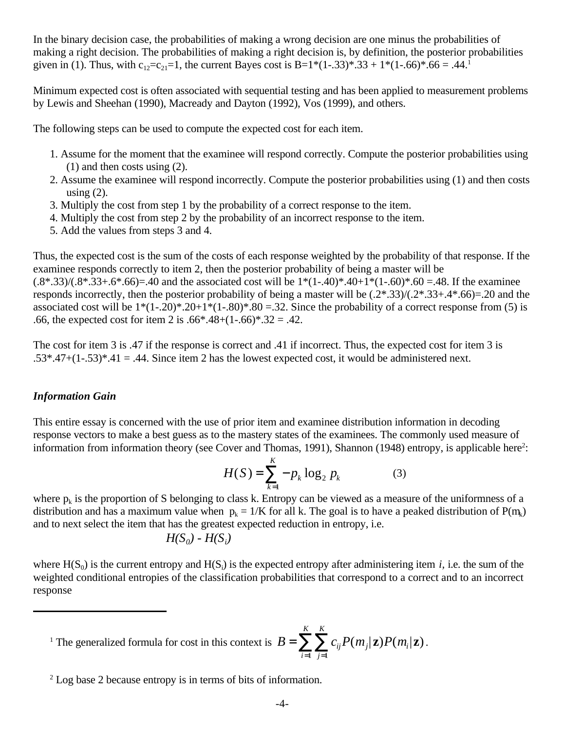In the binary decision case, the probabilities of making a wrong decision are one minus the probabilities of making a right decision. The probabilities of making a right decision is, by definition, the posterior probabilities given in (1). Thus, with  $c_{12}=c_{21}=1$ , the current Bayes cost is B=1\*(1-.33)\*.33 + 1\*(1-.66)\*.66 = .44.<sup>1</sup>

Minimum expected cost is often associated with sequential testing and has been applied to measurement problems by Lewis and Sheehan (1990), Macready and Dayton (1992), Vos (1999), and others.

The following steps can be used to compute the expected cost for each item.

- 1. Assume for the moment that the examinee will respond correctly. Compute the posterior probabilities using (1) and then costs using (2).
- 2. Assume the examinee will respond incorrectly. Compute the posterior probabilities using (1) and then costs using  $(2)$ .
- 3. Multiply the cost from step 1 by the probability of a correct response to the item.
- 4. Multiply the cost from step 2 by the probability of an incorrect response to the item.
- 5. Add the values from steps 3 and 4.

Thus, the expected cost is the sum of the costs of each response weighted by the probability of that response. If the examinee responds correctly to item 2, then the posterior probability of being a master will be  $(.8*.33)/(.8*.33+.6*.66) = .40$  and the associated cost will be  $1*(1-.40)*.40+1*(1-.60)*.60 = .48$ . If the examinee responds incorrectly, then the posterior probability of being a master will be (.2\*.33)/(.2\*.33+.4\*.66)=.20 and the associated cost will be  $1*(1-.20)*.20+1*(1-.80)*.80=.32$ . Since the probability of a correct response from (5) is .66, the expected cost for item 2 is .66\*.48+ $(1-.66)$ \*.32 = .42.

The cost for item 3 is .47 if the response is correct and .41 if incorrect. Thus, the expected cost for item 3 is  $.53^*$ .47+(1-.53)\*.41 = .44. Since item 2 has the lowest expected cost, it would be administered next.

# *Information Gain*

This entire essay is concerned with the use of prior item and examinee distribution information in decoding response vectors to make a best guess as to the mastery states of the examinees. The commonly used measure of information from information theory (see Cover and Thomas, 1991), Shannon (1948) entropy, is applicable here<sup>2</sup>:

$$
H(S) = \sum_{k=1}^{K} -p_k \log_2 p_k
$$
 (3)

where  $p_k$  is the proportion of S belonging to class k. Entropy can be viewed as a measure of the uniformness of a distribution and has a maximum value when  $p_k = 1/K$  for all k. The goal is to have a peaked distribution of  $P(m_k)$ and to next select the item that has the greatest expected reduction in entropy, i.e.

$$
H(S_0) - H(S_i)
$$

where  $H(S_0)$  is the current entropy and  $H(S_i)$  is the expected entropy after administering item *i*, i.e. the sum of the weighted conditional entropies of the classification probabilities that correspond to a correct and to an incorrect response

<sup>1</sup> The generalized formula for cost in this context is  $B = \sum_{i} \sum_{i} c_{ij} P(m_j | \mathbf{z}) P(m_i | \mathbf{z})$ . *j K i K*  $=\sum_{i} \sum_{i} P(m_i | \mathbf{z}) P(m_i$  $=1$  j=  $\sum \sum c_{ij} P(m_j | \mathbf{z}) P(m_i | \mathbf{z})$  $-1$   $j=1$  $\mathbf{z}$ ) $P(m_i|\mathbf{z})$ 

<sup>2</sup> Log base 2 because entropy is in terms of bits of information.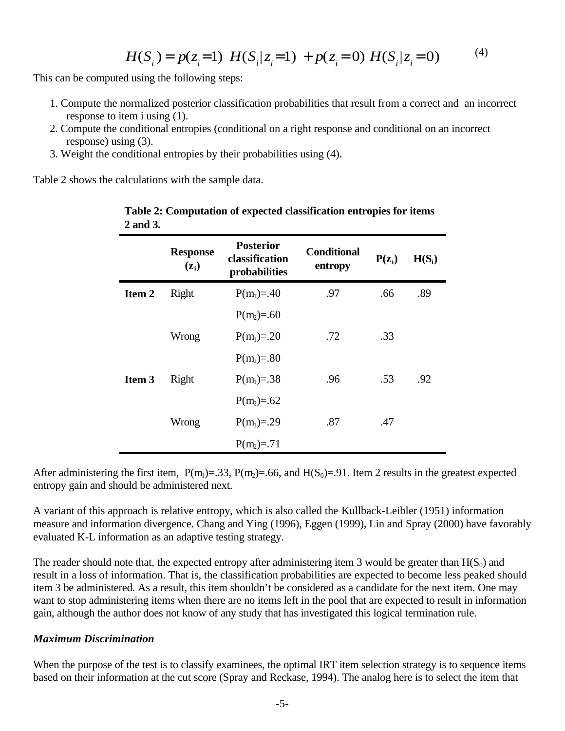$$
H(Si) = p(zi=1) H(Si|zi=1) + p(zi=0) H(Si|zi=0)
$$
 (4)

This can be computed using the following steps:

- 1. Compute the normalized posterior classification probabilities that result from a correct and an incorrect response to item i using (1).
- 2. Compute the conditional entropies (conditional on a right response and conditional on an incorrect response) using (3).
- 3. Weight the conditional entropies by their probabilities using (4).

Table 2 shows the calculations with the sample data.

|        | <b>Response</b><br>$(\mathbf{z_i})$ | <b>Posterior</b><br>classification<br>probabilities | <b>Conditional</b><br>entropy | $P(z_i)$ | $H(S_i)$ |
|--------|-------------------------------------|-----------------------------------------------------|-------------------------------|----------|----------|
| Item 2 | Right                               | $P(m_1)=.40$                                        | .97                           | .66      | .89      |
|        |                                     | $P(m_2)=0.60$                                       |                               |          |          |
|        | Wrong                               | $P(m_1)=20$                                         | .72                           | .33      |          |
|        |                                     | $P(m_2)=.80$                                        |                               |          |          |
| Item 3 | Right                               | $P(m_1)=.38$                                        | .96                           | .53      | .92      |
|        |                                     | $P(m_2)=0.62$                                       |                               |          |          |
|        | Wrong                               | $P(m_1)=.29$                                        | .87                           | .47      |          |
|        |                                     | $P(m_2)=71$                                         |                               |          |          |

# **Table 2: Computation of expected classification entropies for items 2 and 3.**

After administering the first item,  $P(m_1)=.33$ ,  $P(m_2)=.66$ , and  $H(S_0)=.91$ . Item 2 results in the greatest expected entropy gain and should be administered next.

A variant of this approach is relative entropy, which is also called the Kullback-Leibler (1951) information measure and information divergence. Chang and Ying (1996), Eggen (1999), Lin and Spray (2000) have favorably evaluated K-L information as an adaptive testing strategy.

The reader should note that, the expected entropy after administering item 3 would be greater than  $H(S_0)$  and result in a loss of information. That is, the classification probabilities are expected to become less peaked should item 3 be administered. As a result, this item shouldn't be considered as a candidate for the next item. One may want to stop administering items when there are no items left in the pool that are expected to result in information gain, although the author does not know of any study that has investigated this logical termination rule.

### *Maximum Discrimination*

When the purpose of the test is to classify examinees, the optimal IRT item selection strategy is to sequence items based on their information at the cut score (Spray and Reckase, 1994). The analog here is to select the item that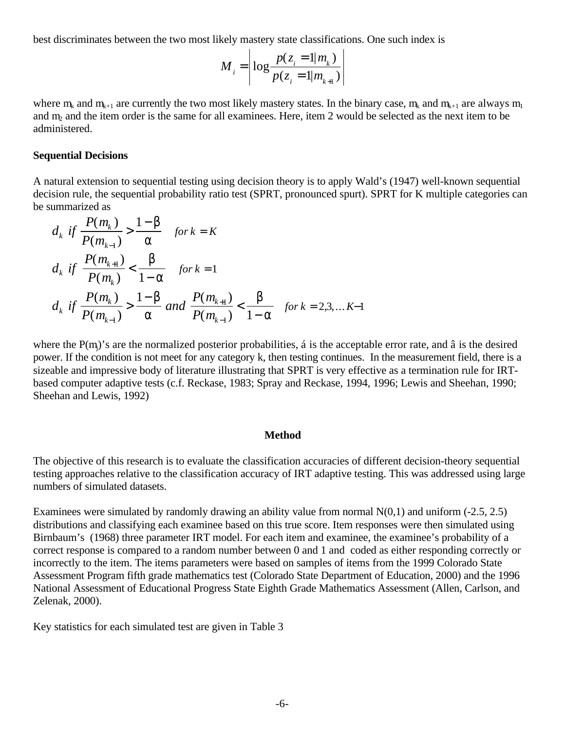best discriminates between the two most likely mastery state classifications. One such index is

$$
M_{i} = \left| \log \frac{p(z_{i} = 1 | m_{k})}{p(z_{i} = 1 | m_{k+1})} \right|
$$

where  $m_k$  and  $m_{k+1}$  are currently the two most likely mastery states. In the binary case,  $m_k$  and  $m_{k+1}$  are always  $m_1$ and m2 and the item order is the same for all examinees. Here, item 2 would be selected as the next item to be administered.

#### **Sequential Decisions**

A natural extension to sequential testing using decision theory is to apply Wald's (1947) well-known sequential decision rule, the sequential probability ratio test (SPRT, pronounced spurt). SPRT for K multiple categories can be summarized as

$$
d_k \text{ if } \frac{P(m_k)}{P(m_{k-1})} > \frac{1-\beta}{\alpha} \quad \text{for } k = K
$$
  

$$
d_k \text{ if } \frac{P(m_{k+1})}{P(m_k)} < \frac{\beta}{1-\alpha} \quad \text{for } k = 1
$$
  

$$
d_k \text{ if } \frac{P(m_k)}{P(m_{k-1})} > \frac{1-\beta}{\alpha} \text{ and } \frac{P(m_{k+1})}{P(m_{k-1})} < \frac{\beta}{1-\alpha} \quad \text{for } k = 2,3,... K-1
$$

where the  $P(m_i)$ 's are the normalized posterior probabilities, á is the acceptable error rate, and â is the desired power. If the condition is not meet for any category k, then testing continues. In the measurement field, there is a sizeable and impressive body of literature illustrating that SPRT is very effective as a termination rule for IRTbased computer adaptive tests (c.f. Reckase, 1983; Spray and Reckase, 1994, 1996; Lewis and Sheehan, 1990; Sheehan and Lewis, 1992)

#### **Method**

The objective of this research is to evaluate the classification accuracies of different decision-theory sequential testing approaches relative to the classification accuracy of IRT adaptive testing. This was addressed using large numbers of simulated datasets.

Examinees were simulated by randomly drawing an ability value from normal  $N(0,1)$  and uniform (-2.5, 2.5) distributions and classifying each examinee based on this true score. Item responses were then simulated using Birnbaum's (1968) three parameter IRT model. For each item and examinee, the examinee's probability of a correct response is compared to a random number between 0 and 1 and coded as either responding correctly or incorrectly to the item. The items parameters were based on samples of items from the 1999 Colorado State Assessment Program fifth grade mathematics test (Colorado State Department of Education, 2000) and the 1996 National Assessment of Educational Progress State Eighth Grade Mathematics Assessment (Allen, Carlson, and Zelenak, 2000).

Key statistics for each simulated test are given in Table 3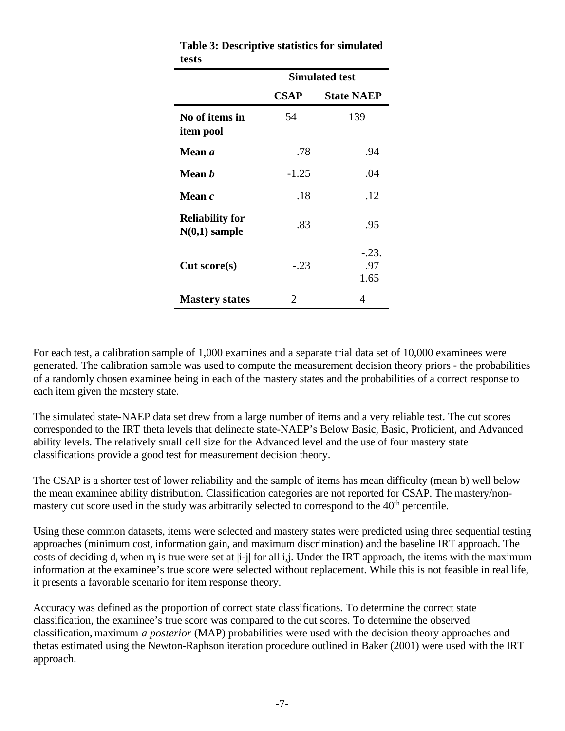| tests                                     |                       |                        |  |
|-------------------------------------------|-----------------------|------------------------|--|
|                                           | <b>Simulated test</b> |                        |  |
|                                           | <b>CSAP</b>           | <b>State NAEP</b>      |  |
| No of items in<br>item pool               | 54                    | 139                    |  |
| Mean a                                    | .78                   | .94                    |  |
| Mean <i>b</i>                             | $-1.25$               | .04                    |  |
| Mean $c$                                  | .18                   | .12                    |  |
| <b>Reliability for</b><br>$N(0,1)$ sample | .83                   | .95                    |  |
| Cut score(s)                              | $-.23$                | $-.23.$<br>.97<br>1.65 |  |
| <b>Mastery states</b>                     | 2                     | 4                      |  |

**Table 3: Descriptive statistics for simulated tests**

For each test, a calibration sample of 1,000 examines and a separate trial data set of 10,000 examinees were generated. The calibration sample was used to compute the measurement decision theory priors - the probabilities of a randomly chosen examinee being in each of the mastery states and the probabilities of a correct response to each item given the mastery state.

The simulated state-NAEP data set drew from a large number of items and a very reliable test. The cut scores corresponded to the IRT theta levels that delineate state-NAEP's Below Basic, Basic, Proficient, and Advanced ability levels. The relatively small cell size for the Advanced level and the use of four mastery state classifications provide a good test for measurement decision theory.

The CSAP is a shorter test of lower reliability and the sample of items has mean difficulty (mean b) well below the mean examinee ability distribution. Classification categories are not reported for CSAP. The mastery/nonmastery cut score used in the study was arbitrarily selected to correspond to the 40<sup>th</sup> percentile.

Using these common datasets, items were selected and mastery states were predicted using three sequential testing approaches (minimum cost, information gain, and maximum discrimination) and the baseline IRT approach. The costs of deciding  $d_i$  when  $m_j$  is true were set at |i-j| for all i,j. Under the IRT approach, the items with the maximum information at the examinee's true score were selected without replacement. While this is not feasible in real life, it presents a favorable scenario for item response theory.

Accuracy was defined as the proportion of correct state classifications. To determine the correct state classification, the examinee's true score was compared to the cut scores. To determine the observed classification, maximum *a posterior* (MAP) probabilities were used with the decision theory approaches and thetas estimated using the Newton-Raphson iteration procedure outlined in Baker (2001) were used with the IRT approach.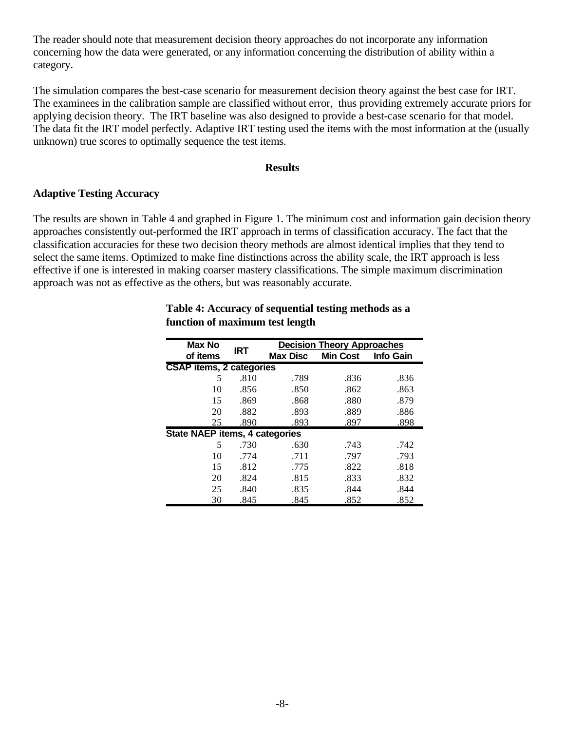The reader should note that measurement decision theory approaches do not incorporate any information concerning how the data were generated, or any information concerning the distribution of ability within a category.

The simulation compares the best-case scenario for measurement decision theory against the best case for IRT. The examinees in the calibration sample are classified without error, thus providing extremely accurate priors for applying decision theory. The IRT baseline was also designed to provide a best-case scenario for that model. The data fit the IRT model perfectly. Adaptive IRT testing used the items with the most information at the (usually unknown) true scores to optimally sequence the test items.

### **Results**

## **Adaptive Testing Accuracy**

The results are shown in Table 4 and graphed in Figure 1. The minimum cost and information gain decision theory approaches consistently out-performed the IRT approach in terms of classification accuracy. The fact that the classification accuracies for these two decision theory methods are almost identical implies that they tend to select the same items. Optimized to make fine distinctions across the ability scale, the IRT approach is less effective if one is interested in making coarser mastery classifications. The simple maximum discrimination approach was not as effective as the others, but was reasonably accurate.

| Max No                                |                                 | <b>Decision Theory Approaches</b> |                 |                  |  |
|---------------------------------------|---------------------------------|-----------------------------------|-----------------|------------------|--|
| of items                              | <b>IRT</b>                      | <b>Max Disc</b>                   | <b>Min Cost</b> | <b>Info Gain</b> |  |
|                                       | <b>CSAP</b> items, 2 categories |                                   |                 |                  |  |
| 5                                     | .810                            | .789                              | .836            | .836             |  |
| 10                                    | .856                            | .850                              | .862            | .863             |  |
| 15                                    | .869                            | .868                              | .880            | .879             |  |
| 20                                    | .882                            | .893                              | .889            | .886             |  |
| 25                                    | .890                            | .893                              | .897            | .898             |  |
| <b>State NAEP items, 4 categories</b> |                                 |                                   |                 |                  |  |
| 5                                     | .730                            | .630                              | .743            | .742             |  |
| 10                                    | .774                            | .711                              | .797            | .793             |  |
| 15                                    | .812                            | .775                              | .822            | .818             |  |
| 20                                    | .824                            | .815                              | .833            | .832             |  |
| 25                                    | .840                            | .835                              | .844            | .844             |  |
| 30                                    | .845                            | .845                              | .852            | .852             |  |

## **Table 4: Accuracy of sequential testing methods as a function of maximum test length**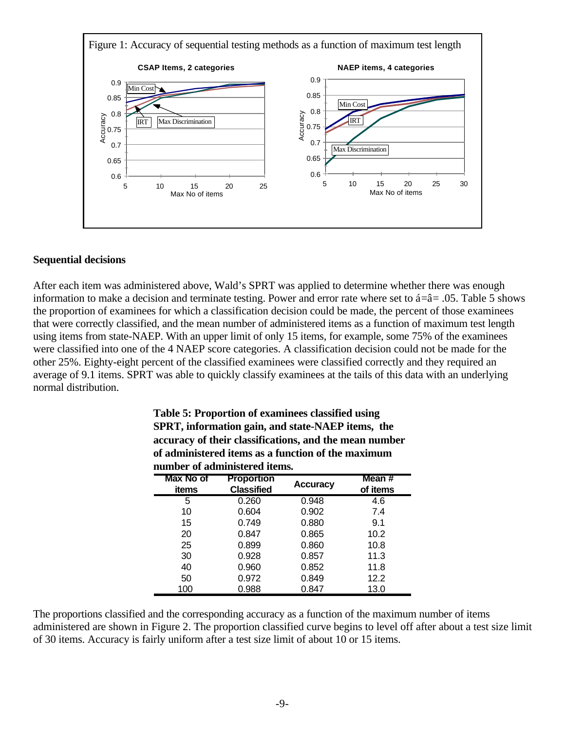

### **Sequential decisions**

After each item was administered above, Wald's SPRT was applied to determine whether there was enough information to make a decision and terminate testing. Power and error rate where set to  $\acute{a}=\hat{a}=0.05$ . Table 5 shows the proportion of examinees for which a classification decision could be made, the percent of those examinees that were correctly classified, and the mean number of administered items as a function of maximum test length using items from state-NAEP. With an upper limit of only 15 items, for example, some 75% of the examinees were classified into one of the 4 NAEP score categories. A classification decision could not be made for the other 25%. Eighty-eight percent of the classified examinees were classified correctly and they required an average of 9.1 items. SPRT was able to quickly classify examinees at the tails of this data with an underlying normal distribution.

| Table 5: Proportion of examinees classified using      |
|--------------------------------------------------------|
| SPRT, information gain, and state-NAEP items, the      |
| accuracy of their classifications, and the mean number |
| of administered items as a function of the maximum     |
| number of administered items.                          |

| <b>Max No of</b><br>items | <b>Proportion</b><br><b>Classified</b> | <b>Accuracy</b> | Mean #<br>of items |
|---------------------------|----------------------------------------|-----------------|--------------------|
| 5                         | 0.260                                  | 0.948           | 4.6                |
| 10                        | 0.604                                  | 0.902           | 7.4                |
| 15                        | 0.749                                  | 0.880           | 9.1                |
| 20                        | 0.847                                  | 0.865           | 10.2               |
| 25                        | 0.899                                  | 0.860           | 10.8               |
| 30                        | 0.928                                  | 0.857           | 11.3               |
| 40                        | 0.960                                  | 0.852           | 11.8               |
| 50                        | 0.972                                  | 0.849           | 12.2               |
| 100                       | 0.988                                  | 0.847           | 13.0               |

The proportions classified and the corresponding accuracy as a function of the maximum number of items administered are shown in Figure 2. The proportion classified curve begins to level off after about a test size limit of 30 items. Accuracy is fairly uniform after a test size limit of about 10 or 15 items.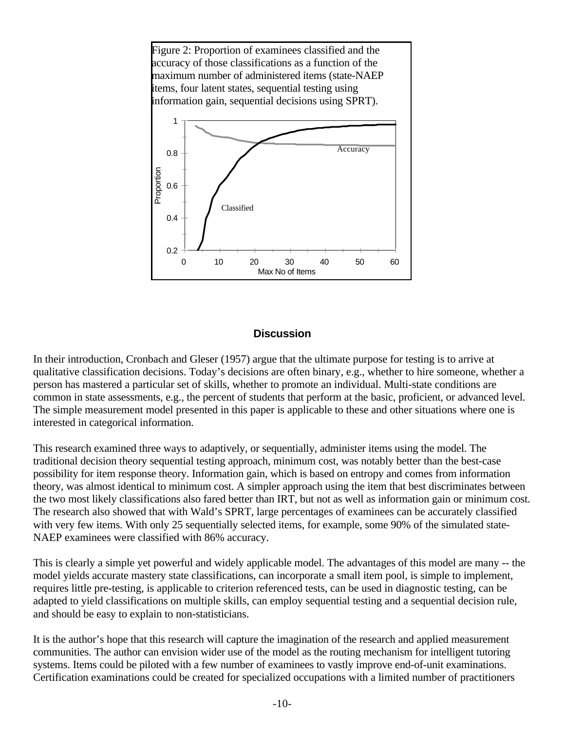

# **Discussion**

In their introduction, Cronbach and Gleser (1957) argue that the ultimate purpose for testing is to arrive at qualitative classification decisions. Today's decisions are often binary, e.g., whether to hire someone, whether a person has mastered a particular set of skills, whether to promote an individual. Multi-state conditions are common in state assessments, e.g., the percent of students that perform at the basic, proficient, or advanced level. The simple measurement model presented in this paper is applicable to these and other situations where one is interested in categorical information.

This research examined three ways to adaptively, or sequentially, administer items using the model. The traditional decision theory sequential testing approach, minimum cost, was notably better than the best-case possibility for item response theory. Information gain, which is based on entropy and comes from information theory, was almost identical to minimum cost. A simpler approach using the item that best discriminates between the two most likely classifications also fared better than IRT, but not as well as information gain or minimum cost. The research also showed that with Wald's SPRT, large percentages of examinees can be accurately classified with very few items. With only 25 sequentially selected items, for example, some 90% of the simulated state-NAEP examinees were classified with 86% accuracy.

This is clearly a simple yet powerful and widely applicable model. The advantages of this model are many -- the model yields accurate mastery state classifications, can incorporate a small item pool, is simple to implement, requires little pre-testing, is applicable to criterion referenced tests, can be used in diagnostic testing, can be adapted to yield classifications on multiple skills, can employ sequential testing and a sequential decision rule, and should be easy to explain to non-statisticians.

It is the author's hope that this research will capture the imagination of the research and applied measurement communities. The author can envision wider use of the model as the routing mechanism for intelligent tutoring systems. Items could be piloted with a few number of examinees to vastly improve end-of-unit examinations. Certification examinations could be created for specialized occupations with a limited number of practitioners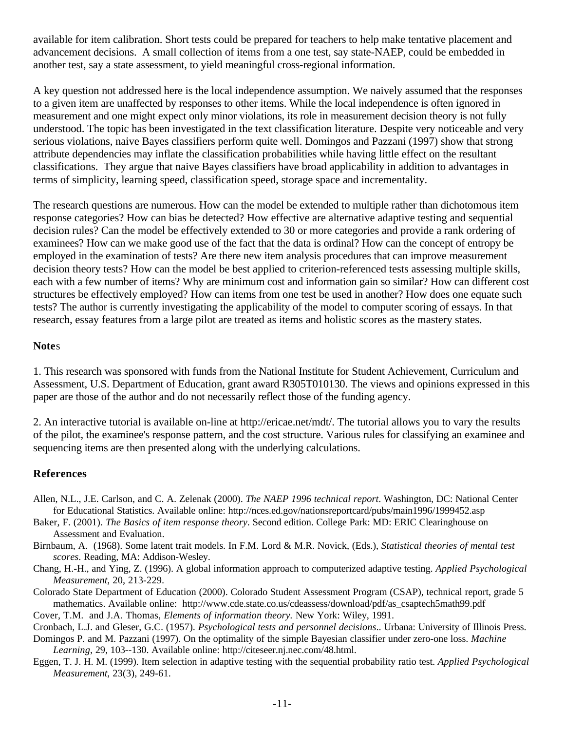available for item calibration. Short tests could be prepared for teachers to help make tentative placement and advancement decisions. A small collection of items from a one test, say state-NAEP, could be embedded in another test, say a state assessment, to yield meaningful cross-regional information.

A key question not addressed here is the local independence assumption. We naively assumed that the responses to a given item are unaffected by responses to other items. While the local independence is often ignored in measurement and one might expect only minor violations, its role in measurement decision theory is not fully understood. The topic has been investigated in the text classification literature. Despite very noticeable and very serious violations, naive Bayes classifiers perform quite well. Domingos and Pazzani (1997) show that strong attribute dependencies may inflate the classification probabilities while having little effect on the resultant classifications. They argue that naive Bayes classifiers have broad applicability in addition to advantages in terms of simplicity, learning speed, classification speed, storage space and incrementality.

The research questions are numerous. How can the model be extended to multiple rather than dichotomous item response categories? How can bias be detected? How effective are alternative adaptive testing and sequential decision rules? Can the model be effectively extended to 30 or more categories and provide a rank ordering of examinees? How can we make good use of the fact that the data is ordinal? How can the concept of entropy be employed in the examination of tests? Are there new item analysis procedures that can improve measurement decision theory tests? How can the model be best applied to criterion-referenced tests assessing multiple skills, each with a few number of items? Why are minimum cost and information gain so similar? How can different cost structures be effectively employed? How can items from one test be used in another? How does one equate such tests? The author is currently investigating the applicability of the model to computer scoring of essays. In that research, essay features from a large pilot are treated as items and holistic scores as the mastery states.

### **Note**s

1. This research was sponsored with funds from the National Institute for Student Achievement, Curriculum and Assessment, U.S. Department of Education, grant award R305T010130. The views and opinions expressed in this paper are those of the author and do not necessarily reflect those of the funding agency.

2. An interactive tutorial is available on-line at http://ericae.net/mdt/. The tutorial allows you to vary the results of the pilot, the examinee's response pattern, and the cost structure. Various rules for classifying an examinee and sequencing items are then presented along with the underlying calculations.

## **References**

- Allen, N.L., J.E. Carlson, and C. A. Zelenak (2000). *The NAEP 1996 technical report*. Washington, DC: National Center for Educational Statistics. Available online: http://nces.ed.gov/nationsreportcard/pubs/main1996/1999452.asp
- Baker, F. (2001). *The Basics of item response theory*. Second edition. College Park: MD: ERIC Clearinghouse on Assessment and Evaluation.
- Birnbaum, A. (1968). Some latent trait models. In F.M. Lord & M.R. Novick, (Eds.), *Statistical theories of mental test scores*. Reading, MA: Addison-Wesley.
- Chang, H.-H., and Ying, Z. (1996). A global information approach to computerized adaptive testing. *Applied Psychological Measurement*, 20, 213-229.
- Colorado State Department of Education (2000). Colorado Student Assessment Program (CSAP), technical report, grade 5 mathematics. Available online: http://www.cde.state.co.us/cdeassess/download/pdf/as csaptech5math99.pdf

Cover, T.M. and J.A. Thomas, *Elements of information theory.* New York: Wiley, 1991.

Cronbach, L.J. and Gleser, G.C. (1957). *Psychological tests and personnel decisions*.. Urbana: University of Illinois Press.

- Domingos P. and M. Pazzani (1997). On the optimality of the simple Bayesian classifier under zero-one loss. *Machine Learning*, 29, 103--130. Available online: http://citeseer.nj.nec.com/48.html.
- Eggen, T. J. H. M. (1999). Item selection in adaptive testing with the sequential probability ratio test. *Applied Psychological Measurement*, 23(3), 249-61.